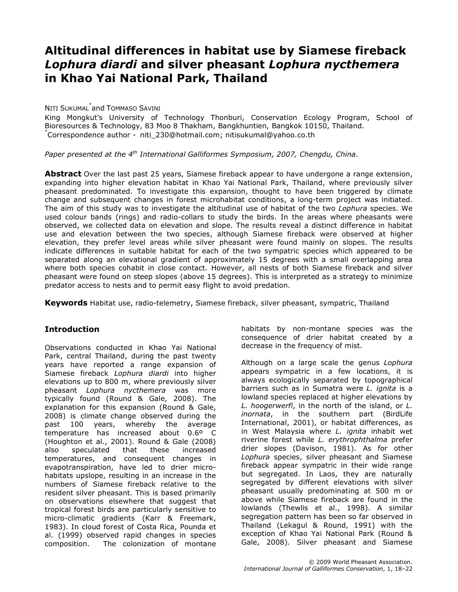# Altitudinal differences in habitat use by Siamese fireback Lophura diardi and silver pheasant Lophura nycthemera in Khao Yai National Park, Thailand

## <sup>N</sup>ITI SUKUMAL\* and TOMMASO SAVINI

King Mongkut's University of Technology Thonburi, Conservation Ecology Program, School of Bioresources & Technology, 83 Moo 8 Thakham, Bangkhuntien, Bangkok 10150, Thailand. \* Correspondence author - niti\_230@hotmail.com; nitisukumal@yahoo.co.th

Paper presented at the  $4^{th}$  International Galliformes Symposium, 2007, Chengdu, China.

**Abstract** Over the last past 25 years, Siamese fireback appear to have undergone a range extension, expanding into higher elevation habitat in Khao Yai National Park, Thailand, where previously silver pheasant predominated. To investigate this expansion, thought to have been triggered by climate change and subsequent changes in forest microhabitat conditions, a long-term project was initiated. The aim of this study was to investigate the altitudinal use of habitat of the two Lophura species. We used colour bands (rings) and radio-collars to study the birds. In the areas where pheasants were observed, we collected data on elevation and slope. The results reveal a distinct difference in habitat use and elevation between the two species, although Siamese fireback were observed at higher elevation, they prefer level areas while silver pheasant were found mainly on slopes. The results indicate differences in suitable habitat for each of the two sympatric species which appeared to be separated along an elevational gradient of approximately 15 degrees with a small overlapping area where both species cohabit in close contact. However, all nests of both Siamese fireback and silver pheasant were found on steep slopes (above 15 degrees). This is interpreted as a strategy to minimize predator access to nests and to permit easy flight to avoid predation.

Keywords Habitat use, radio-telemetry, Siamese fireback, silver pheasant, sympatric, Thailand

### **Introduction**

Observations conducted in Khao Yai National Park, central Thailand, during the past twenty years have reported a range expansion of Siamese fireback Lophura diardi into higher elevations up to 800 m, where previously silver pheasant Lophura nycthemera was more typically found (Round & Gale, 2008). The explanation for this expansion (Round & Gale, 2008) is climate change observed during the past 100 years, whereby the average temperature has increased about 0.6º C (Houghton et al., 2001). Round & Gale (2008) also speculated that these increased temperatures, and consequent changes in evapotranspiration, have led to drier microhabitats upslope, resulting in an increase in the numbers of Siamese fireback relative to the resident silver pheasant. This is based primarily on observations elsewhere that suggest that tropical forest birds are particularly sensitive to micro-climatic gradients (Karr & Freemark, 1983). In cloud forest of Costa Rica, Pounda et al. (1999) observed rapid changes in species composition. The colonization of montane

habitats by non-montane species was the consequence of drier habitat created by a decrease in the frequency of mist.

Although on a large scale the genus Lophura appears sympatric in a few locations, it is always ecologically separated by topographical barriers such as in Sumatra were L. ignita is a lowland species replaced at higher elevations by L. hoogerwerfi, in the north of the island, or L. inornata, in the southern part (BirdLife International, 2001), or habitat differences, as in West Malaysia where L. ignita inhabit wet riverine forest while L. erythrophthalma prefer drier slopes (Davison, 1981). As for other Lophura species, silver pheasant and Siamese fireback appear sympatric in their wide range but segregated. In Laos, they are naturally segregated by different elevations with silver pheasant usually predominating at 500 m or above while Siamese fireback are found in the lowlands (Thewlis et al., 1998). A similar segregation pattern has been so far observed in Thailand (Lekagul & Round, 1991) with the exception of Khao Yai National Park (Round & Gale, 2008). Silver pheasant and Siamese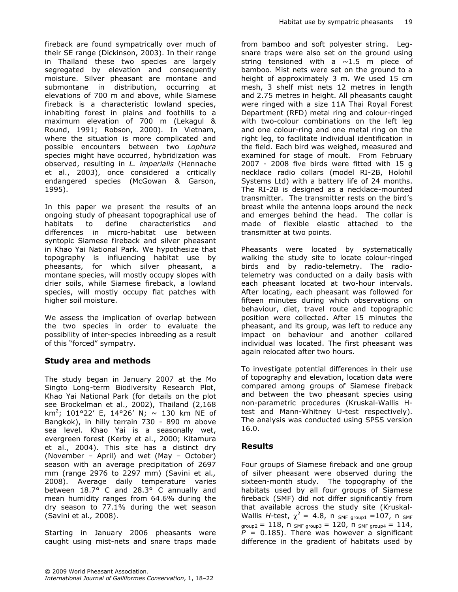fireback are found sympatrically over much of their SE range (Dickinson, 2003). In their range in Thailand these two species are largely segregated by elevation and consequently moisture. Silver pheasant are montane and submontane in distribution, occurring at elevations of 700 m and above, while Siamese fireback is a characteristic lowland species, inhabiting forest in plains and foothills to a maximum elevation of 700 m (Lekagul & Round, 1991; Robson, 2000). In Vietnam, where the situation is more complicated and possible encounters between two Lophura species might have occurred, hybridization was observed, resulting in L. imperialis (Hennache et al., 2003), once considered a critically endangered species (McGowan & Garson, 1995).

In this paper we present the results of an ongoing study of pheasant topographical use of habitats to define characteristics and differences in micro-habitat use between syntopic Siamese fireback and silver pheasant in Khao Yai National Park. We hypothesize that topography is influencing habitat use by pheasants, for which silver pheasant, a montane species, will mostly occupy slopes with drier soils, while Siamese fireback, a lowland species, will mostly occupy flat patches with higher soil moisture.

We assess the implication of overlap between the two species in order to evaluate the possibility of inter-species inbreeding as a result of this "forced" sympatry.

### Study area and methods

The study began in January 2007 at the Mo Singto Long-term Biodiversity Research Plot, Khao Yai National Park (for details on the plot see Brockelman et al., 2002), Thailand (2,168 km<sup>2</sup>; 101°22′ E, 14°26′ N; ~ 130 km NE of Bangkok), in hilly terrain 730 - 890 m above sea level. Khao Yai is a seasonally wet, evergreen forest (Kerby et al., 2000; Kitamura et al., 2004). This site has a distinct dry (November – April) and wet (May – October) season with an average precipitation of 2697 mm (range 2976 to 2297 mm) (Savini et al., 2008). Average daily temperature varies between 18.7° C and 28.3° C annually and mean humidity ranges from 64.6% during the dry season to 77.1% during the wet season (Savini et al., 2008).

Starting in January 2006 pheasants were caught using mist-nets and snare traps made from bamboo and soft polyester string. Legsnare traps were also set on the ground using string tensioned with a  $\sim$ 1.5 m piece of bamboo. Mist nets were set on the ground to a height of approximately 3 m. We used 15 cm mesh, 3 shelf mist nets 12 metres in length and 2.75 metres in height. All pheasants caught were ringed with a size 11A Thai Royal Forest Department (RFD) metal ring and colour-ringed with two-colour combinations on the left leg and one colour-ring and one metal ring on the right leg, to facilitate individual identification in the field. Each bird was weighed, measured and examined for stage of moult. From February 2007 - 2008 five birds were fitted with 15 g necklace radio collars (model RI-2B, Holohil Systems Ltd) with a battery life of 24 months. The RI-2B is designed as a necklace-mounted transmitter. The transmitter rests on the bird's breast while the antenna loops around the neck and emerges behind the head. The collar is made of flexible elastic attached to the transmitter at two points.

Pheasants were located by systematically walking the study site to locate colour-ringed birds and by radio-telemetry. The radiotelemetry was conducted on a daily basis with each pheasant located at two-hour intervals. After locating, each pheasant was followed for fifteen minutes during which observations on behaviour, diet, travel route and topographic position were collected. After 15 minutes the pheasant, and its group, was left to reduce any impact on behaviour and another collared individual was located. The first pheasant was again relocated after two hours.

To investigate potential differences in their use of topography and elevation, location data were compared among groups of Siamese fireback and between the two pheasant species using non-parametric procedures (Kruskal-Wallis Htest and Mann-Whitney U-test respectively). The analysis was conducted using SPSS version 16.0.

## Results

Four groups of Siamese fireback and one group of silver pheasant were observed during the sixteen-month study. The topography of the habitats used by all four groups of Siamese fireback (SMF) did not differ significantly from that available across the study site (Kruskal-Wallis H-test,  $\chi^2 = 4.8$ , n <sub>SMF group1</sub> =107, n <sub>SMF</sub>  $_{\text{group2}} = 118$ ,  $n_{\text{SMF group3}} = 120$ ,  $n_{\text{SMF group4}} = 114$ ,  $P = 0.185$ ). There was however a significant difference in the gradient of habitats used by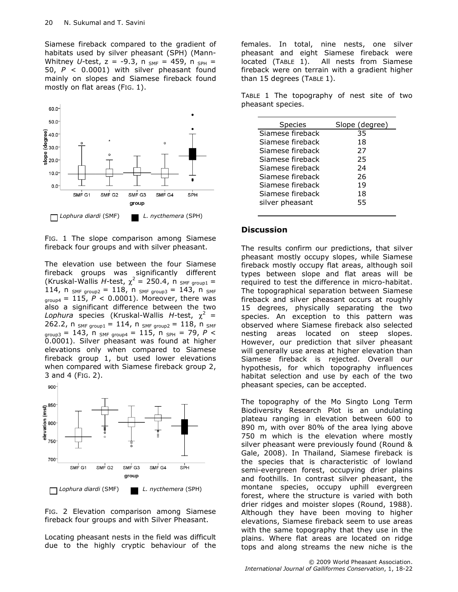Siamese fireback compared to the gradient of habitats used by silver pheasant (SPH) (Mann-Whitney U-test,  $z = -9.3$ ,  $n_{SMF} = 459$ ,  $n_{SPH} =$ 50,  $P < 0.0001$ ) with silver pheasant found mainly on slopes and Siamese fireback found mostly on flat areas (FIG. 1).



FIG. 1 The slope comparison among Siamese fireback four groups and with silver pheasant.

The elevation use between the four Siamese fireback groups was significantly different (Kruskal-Wallis *H*-test,  $\chi^2 = 250.4$ , n <sub>SMF group1</sub> = 114, n  $_{SMF\ group2}$  = 118, n  $_{SMF\ group3}$  = 143, n  $_{SMF}$  $_{\text{group4}} = 115$ ,  $P < 0.0001$ ). Moreover, there was also a significant difference between the two Lophura species (Kruskal-Wallis H-test,  $\chi^2$  = 262.2, n  $_{SMF\ group1} = 114$ , n  $_{SMF\ group2} = 118$ , n  $_{SMF}$  $_{\text{group3}} = 143$ , n  $_{\text{SMF group4}} = 115$ , n  $_{\text{SPH}} = 79$ , P < 0.0001). Silver pheasant was found at higher elevations only when compared to Siamese fireback group 1, but used lower elevations when compared with Siamese fireback group 2, 3 and 4 (FIG. 2).





FIG. 2 Elevation comparison among Siamese fireback four groups and with Silver Pheasant.

Locating pheasant nests in the field was difficult due to the highly cryptic behaviour of the

females. In total, nine nests, one silver pheasant and eight Siamese fireback were located (TABLE 1). All nests from Siamese fireback were on terrain with a gradient higher than 15 degrees (TABLE 1).

TABLE 1 The topography of nest site of two pheasant species.

| <b>Species</b>   | Slope (degree) |
|------------------|----------------|
| Siamese fireback | 35             |
| Siamese fireback | 18             |
| Siamese fireback | 27             |
| Siamese fireback | 25             |
| Siamese fireback | 24             |
| Siamese fireback | 26             |
| Siamese fireback | 19             |
| Siamese fireback | 18             |
| silver pheasant  | 55             |
|                  |                |

#### **Discussion**

The results confirm our predictions, that silver pheasant mostly occupy slopes, while Siamese fireback mostly occupy flat areas, although soil types between slope and flat areas will be required to test the difference in micro-habitat. The topographical separation between Siamese fireback and silver pheasant occurs at roughly 15 degrees, physically separating the two species. An exception to this pattern was observed where Siamese fireback also selected nesting areas located on steep slopes. However, our prediction that silver pheasant will generally use areas at higher elevation than Siamese fireback is rejected. Overall our hypothesis, for which topography influences habitat selection and use by each of the two pheasant species, can be accepted.

The topography of the Mo Singto Long Term Biodiversity Research Plot is an undulating plateau ranging in elevation between 600 to 890 m, with over 80% of the area lying above 750 m which is the elevation where mostly silver pheasant were previously found (Round & Gale, 2008). In Thailand, Siamese fireback is the species that is characteristic of lowland semi-evergreen forest, occupying drier plains and foothills. In contrast silver pheasant, the montane species, occupy uphill evergreen forest, where the structure is varied with both drier ridges and moister slopes (Round, 1988). Although they have been moving to higher elevations, Siamese fireback seem to use areas with the same topography that they use in the plains. Where flat areas are located on ridge tops and along streams the new niche is the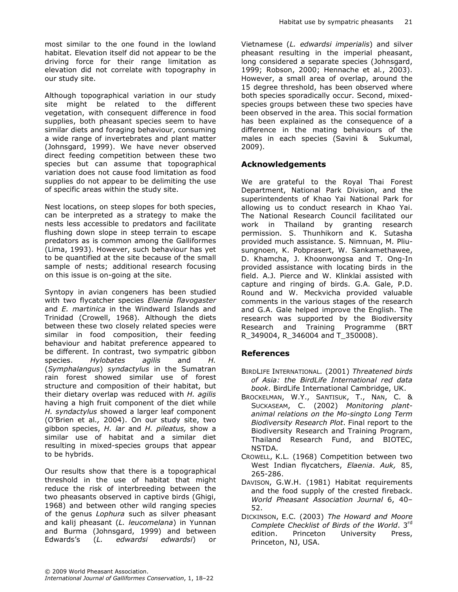most similar to the one found in the lowland habitat. Elevation itself did not appear to be the driving force for their range limitation as elevation did not correlate with topography in our study site.

Although topographical variation in our study site might be related to the different vegetation, with consequent difference in food supplies, both pheasant species seem to have similar diets and foraging behaviour, consuming a wide range of invertebrates and plant matter (Johnsgard, 1999). We have never observed direct feeding competition between these two species but can assume that topographical variation does not cause food limitation as food supplies do not appear to be delimiting the use of specific areas within the study site.

Nest locations, on steep slopes for both species, can be interpreted as a strategy to make the nests less accessible to predators and facilitate flushing down slope in steep terrain to escape predators as is common among the Galliformes (Lima, 1993). However, such behaviour has yet to be quantified at the site because of the small sample of nests; additional research focusing on this issue is on-going at the site.

Syntopy in avian congeners has been studied with two flycatcher species Elaenia flavogaster and *E. martinica* in the Windward Islands and Trinidad (Crowell, 1968). Although the diets between these two closely related species were similar in food composition, their feeding behaviour and habitat preference appeared to be different. In contrast, two sympatric gibbon species. Hylobates agilis and H. (Symphalangus) syndactylus in the Sumatran rain forest showed similar use of forest structure and composition of their habitat, but their dietary overlap was reduced with  $H$ . agilis having a high fruit component of the diet while H. syndactylus showed a larger leaf component (O'Brien et al., 2004). On our study site, two gibbon species, H. lar and H. pileatus, show a similar use of habitat and a similar diet resulting in mixed-species groups that appear to be hybrids.

Our results show that there is a topographical threshold in the use of habitat that might reduce the risk of interbreeding between the two pheasants observed in captive birds (Ghigi, 1968) and between other wild ranging species of the genus Lophura such as silver pheasant and kalij pheasant (L. leucomelana) in Yunnan and Burma (Johnsgard, 1999) and between Edwards's (L. edwardsi edwardsi) or

Vietnamese (L. edwardsi imperialis) and silver pheasant resulting in the imperial pheasant, long considered a separate species (Johnsgard, 1999; Robson, 2000; Hennache et al., 2003). However, a small area of overlap, around the 15 degree threshold, has been observed where both species sporadically occur. Second, mixedspecies groups between these two species have been observed in the area. This social formation has been explained as the consequence of a difference in the mating behaviours of the males in each species (Savini & Sukumal, 2009).

#### Acknowledgements

We are grateful to the Royal Thai Forest Department, National Park Division, and the superintendents of Khao Yai National Park for allowing us to conduct research in Khao Yai. The National Research Council facilitated our work in Thailand by granting research permission. S. Thunhikorn and K. Sutasha provided much assistance. S. Nimnuan, M. Pliusungnoen, K. Pobprasert, W. Sankamethawee, D. Khamcha, J. Khoonwongsa and T. Ong-In provided assistance with locating birds in the field. A.J. Pierce and W. Klinklai assisted with capture and ringing of birds. G.A. Gale, P.D. Round and W. Meckvicha provided valuable comments in the various stages of the research and G.A. Gale helped improve the English. The research was supported by the Biodiversity Research and Training Programme (BRT R\_349004, R\_346004 and T\_350008).

### References

- BIRDLIFE INTERNATIONAL. (2001) Threatened birds of Asia: the BirdLife International red data book. BirdLife International Cambridge, UK.
- BROCKELMAN, W.Y., SANTISUK, T., NAN, C. & SUCKASEAM, C. (2002) Monitoring plantanimal relations on the Mo-singto Long Term Biodiversity Research Plot. Final report to the Biodiversity Research and Training Program, Thailand Research Fund, and BIOTEC, NSTDA.
- CROWELL, K.L. (1968) Competition between two West Indian flycatchers, Elaenia. Auk, 85, 265-286.
- DAVISON, G.W.H. (1981) Habitat requirements and the food supply of the crested fireback. World Pheasant Association Journal 6, 40– 52.
- DICKINSON, E.C. (2003) The Howard and Moore Complete Checklist of Birds of the World. 3<sup>rd</sup> edition. Princeton University Press, Princeton, NJ, USA.